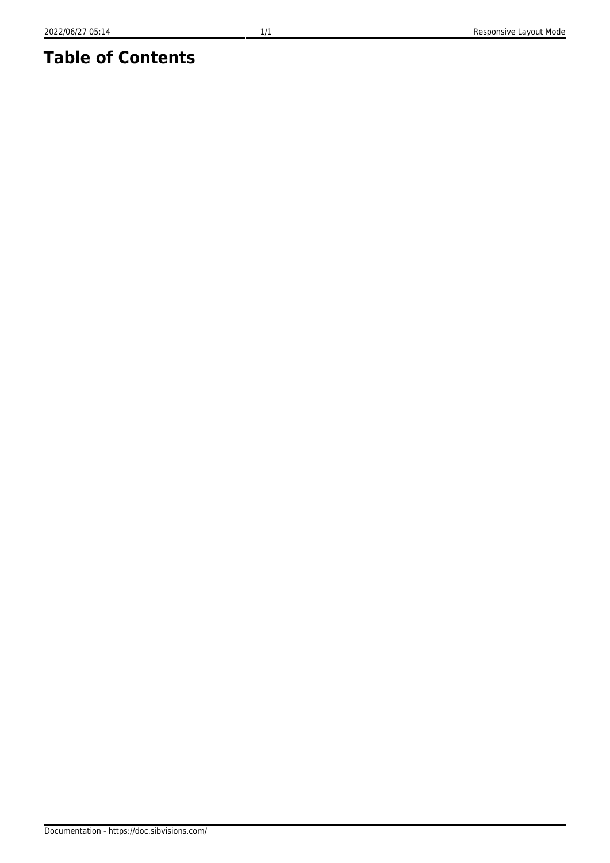## **Table of Contents**